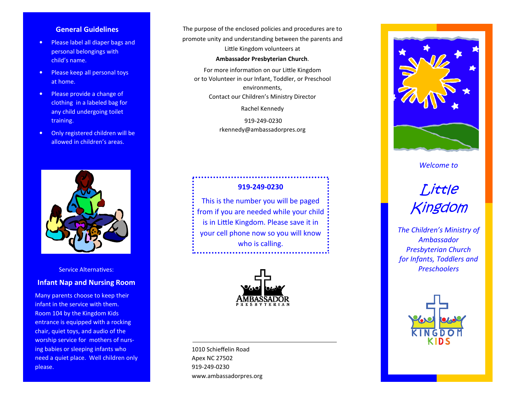# **General Guidelines**

- Please label all diaper bags and personal belongings with child's name.
- Please keep all personal toys at home.
- Please provide a change of clothing in a labeled bag for any child undergoing toilet training.
- Only registered children will be allowed in children's areas.



Service Alternatives:

### **Infant Nap and Nursing Room**

 Many parents choose to keep their infant in the service with them. Room 104 by the Kingdom Kids entrance is equipped with a rocking chair, quiet toys, and audio of the worship service for mothers of nursing babies or sleeping infants who need a quiet place. Well children only please.

The purpose of the enclosed policies and procedures are to promote unity and understanding between the parents and Little Kingdom volunteers at

#### **Ambassador Presbyterian Church**.

For more information on our Little Kingdom or to Volunteer in our Infant, Toddler, or Preschool environments, Contact our Children's Ministry Director

Rachel Kennedy

 919-249-0230 rkennedy@ambassadorpres.org

# **919-249-0230** This is the number you will be paged from if you are needed while your child is in Little Kingdom. Please save it in your cell phone now so you will know who is calling.



1010 Schieffelin Road Apex NC 27502 919-249-0230 www.ambassadorpres.org



# *Welcome to*



*The Children's Ministry of Ambassador Presbyterian Church for Infants, Toddlers and Preschoolers*